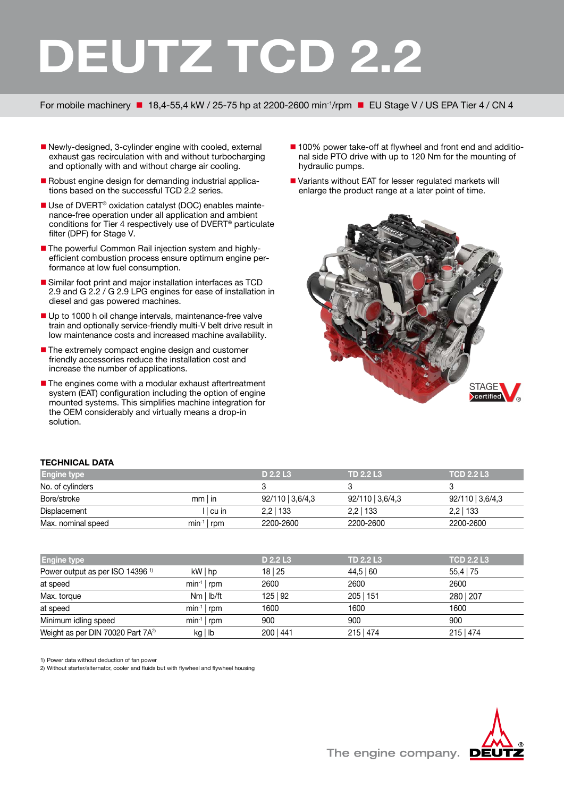## **DEUTZ TCD 2.2**

For mobile machinery ■ 18,4-55,4 kW / 25-75 hp at 2200-2600 min<sup>-1</sup>/rpm ■ EU Stage V / US EPA Tier 4 / CN 4

- Newly-designed, 3-cylinder engine with cooled, external exhaust gas recirculation with and without turbocharging and optionally with and without charge air cooling.
- Robust engine design for demanding industrial applications based on the successful TCD 2.2 series.
- Use of DVERT<sup>®</sup> oxidation catalyst (DOC) enables maintenance-free operation under all application and ambient conditions for Tier 4 respectively use of DVERT® particulate filter (DPF) for Stage V.
- The powerful Common Rail injection system and highlyefficient combustion process ensure optimum engine performance at low fuel consumption.
- Similar foot print and major installation interfaces as TCD 2.9 and G 2.2 / G 2.9 LPG engines for ease of installation in diesel and gas powered machines.
- Up to 1000 h oil change intervals, maintenance-free valve train and optionally service-friendly multi-V belt drive result in low maintenance costs and increased machine availability.
- The extremely compact engine design and customer friendly accessories reduce the installation cost and increase the number of applications.
- $\blacksquare$  The engines come with a modular exhaust aftertreatment system (EAT) configuration including the option of engine mounted systems. This simplifies machine integration for the OEM considerably and virtually means a drop-in solution.
- 100% power take-off at flywheel and front end and additional side PTO drive with up to 120 Nm for the mounting of hydraulic pumps.
- Variants without EAT for lesser regulated markets will enlarge the product range at a later point of time.



## **TECHNICAL DATA**

| <b>Engine type</b> |                  | D 2.2 L3         | <b>TD 2.2 L3</b> | <b>TCD 2.2 L3</b> |
|--------------------|------------------|------------------|------------------|-------------------|
| No. of cylinders   |                  |                  |                  |                   |
| Bore/stroke        | $mm$ in          | $92/110$ 3.6/4.3 | $92/110$ 3.6/4.3 | $92/110$ 3,6/4,3  |
| Displacement       | I I cu in        | $2,2$   133      | $2.2$   133      | $2,2$   133       |
| Max. nominal speed | $min^{-1}$   rpm | 2200-2600        | 2200-2600        | 2200-2600         |

| <b>Engine type</b>                            |                | D 2.2 L3  | <b>TD 2.2 L3</b> | <b>TCD 2.2 L3</b> |
|-----------------------------------------------|----------------|-----------|------------------|-------------------|
| Power output as per ISO 14396 <sup>1)</sup>   | kW   hp        | 18 25     | 44,5 60          | $55,4$   75       |
| at speed                                      | $min^{-1}$ rpm | 2600      | 2600             | 2600              |
| Max. torque                                   | $Nm$   $lb/ft$ | 125 92    | 205 151          | 280   207         |
| at speed                                      | $min^{-1}$ rpm | 1600      | 1600             | 1600              |
| Minimum idling speed                          | $min^{-1}$ rpm | 900       | 900              | 900               |
| Weight as per DIN 70020 Part 7A <sup>2)</sup> | kg lb          | 200   441 | $215 \mid 474$   | $215$   474       |

1) Power data without deduction of fan power

2) Without starter/alternator, cooler and fluids but with flywheel and flywheel housing